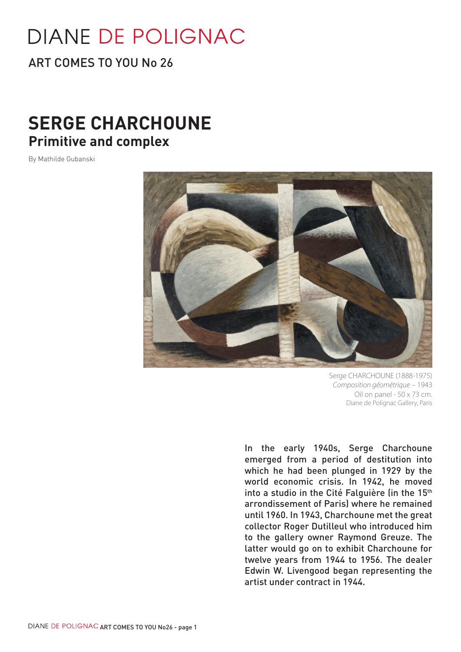# **DIANE DE POLIGNAC**

ART COMES TO YOU No 26

## **SERGE CHARCHOUNE Primitive and complex**

By Mathilde Gubanski



Serge CHARCHOUNE (1888-1975) *Composition géométrique* – 1943 Oil on panel - 50 x 73 cm. Diane de Polignac Gallery, Paris

In the early 1940s, Serge Charchoune emerged from a period of destitution into which he had been plunged in 1929 by the world economic crisis. In 1942, he moved into a studio in the Cité Falguière (in the 15<sup>th</sup> arrondissement of Paris) where he remained until 1960. In 1943, Charchoune met the great collector Roger Dutilleul who introduced him to the gallery owner Raymond Greuze. The latter would go on to exhibit Charchoune for twelve years from 1944 to 1956. The dealer Edwin W. Livengood began representing the artist under contract in 1944.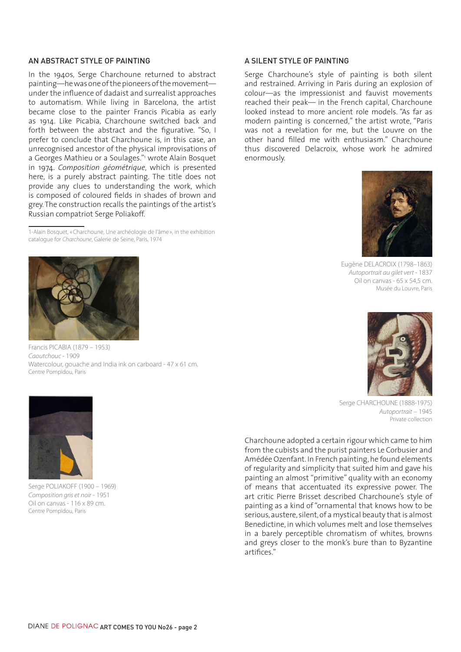#### AN ABSTRACT STYLE OF PAINTING

In the 1940s, Serge Charchoune returned to abstract painting—he was one of the pioneers of the movement under the influence of dadaist and surrealist approaches to automatism. While living in Barcelona, the artist became close to the painter Francis Picabia as early as 1914. Like Picabia, Charchoune switched back and forth between the abstract and the figurative. "So, I prefer to conclude that Charchoune is, in this case, an unrecognised ancestor of the physical improvisations of a Georges Mathieu or a Soulages."1 wrote Alain Bosquet in 1974. *Composition géométrique*, which is presented here, is a purely abstract painting. The title does not provide any clues to understanding the work, which is composed of coloured fields in shades of brown and grey. The construction recalls the paintings of the artist's Russian compatriot Serge Poliakoff.

1-Alain Bosquet, «Charchoune, Une archéologie de l'âme », in the exhibition catalogue for *Charchoune*, Galerie de Seine, Paris, 1974



Francis PICABIA (1879 – 1953) *Caoutchouc* - 1909 Watercolour, gouache and India ink on carboard - 47 x 61 cm. Centre Pompidou, Paris



Serge POLIAKOFF (1900 – 1969) *Composition gris et noir* - 1951 Oil on canvas - 116 x 89 cm. Centre Pompidou, Paris

#### A SILENT STYLE OF PAINTING

Serge Charchoune's style of painting is both silent and restrained. Arriving in Paris during an explosion of colour—as the impressionist and fauvist movements reached their peak— in the French capital, Charchoune looked instead to more ancient role models. "As far as modern painting is concerned," the artist wrote, "Paris was not a revelation for me, but the Louvre on the other hand filled me with enthusiasm." Charchoune thus discovered Delacroix, whose work he admired enormously.



Eugène DELACROIX (1798–1863) *Autoportrait au gilet vert* - 1837 Oil on canvas - 65 x 54,5 cm. Musée du Louvre, Paris



Serge CHARCHOUNE (1888-1975) *Autoportrait* – 1945 Private collection

Charchoune adopted a certain rigour which came to him from the cubists and the purist painters Le Corbusier and Amédée Ozenfant. In French painting, he found elements of regularity and simplicity that suited him and gave his painting an almost "primitive" quality with an economy of means that accentuated its expressive power. The art critic Pierre Brisset described Charchoune's style of painting as a kind of "ornamental that knows how to be serious, austere, silent, of a mystical beauty that is almost Benedictine, in which volumes melt and lose themselves in a barely perceptible chromatism of whites, browns and greys closer to the monk's bure than to Byzantine artifices."